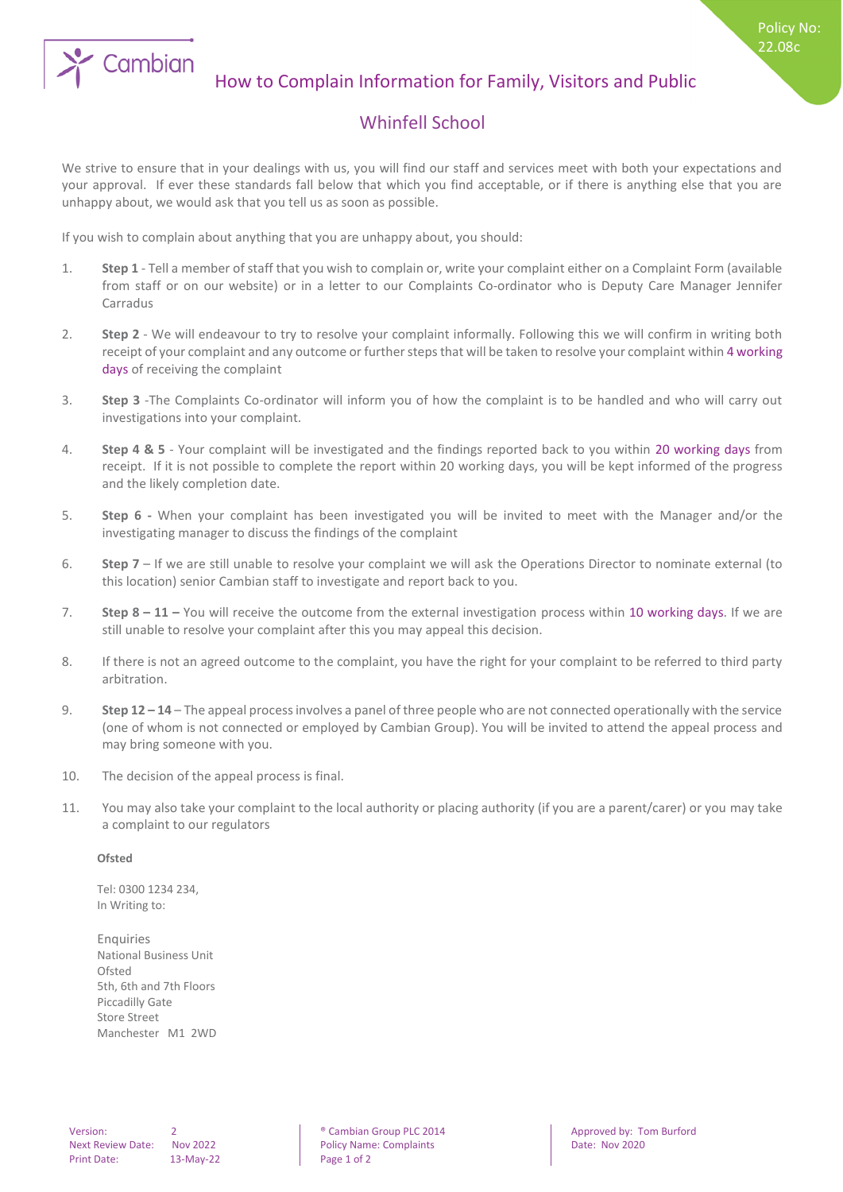

Policy No: 22.08c

## Whinfell School

We strive to ensure that in your dealings with us, you will find our staff and services meet with both your expectations and your approval. If ever these standards fall below that which you find acceptable, or if there is anything else that you are unhappy about, we would ask that you tell us as soon as possible.

If you wish to complain about anything that you are unhappy about, you should:

- 1. **Step 1** Tell a member of staff that you wish to complain or, write your complaint either on a Complaint Form (available from staff or on our website) or in a letter to our Complaints Co-ordinator who is Deputy Care Manager Jennifer Carradus
- 2. **Step 2** We will endeavour to try to resolve your complaint informally. Following this we will confirm in writing both receipt of your complaint and any outcome or further steps that will be taken to resolve your complaint within 4 working days of receiving the complaint
- 3. **Step 3** -The Complaints Co-ordinator will inform you of how the complaint is to be handled and who will carry out investigations into your complaint.
- 4. **Step 4 & 5** Your complaint will be investigated and the findings reported back to you within 20 working days from receipt. If it is not possible to complete the report within 20 working days, you will be kept informed of the progress and the likely completion date.
- 5. **Step 6 -** When your complaint has been investigated you will be invited to meet with the Manager and/or the investigating manager to discuss the findings of the complaint
- 6. **Step 7** If we are still unable to resolve your complaint we will ask the Operations Director to nominate external (to this location) senior Cambian staff to investigate and report back to you.
- 7. **Step 8 – 11 –** You will receive the outcome from the external investigation process within 10 working days. If we are still unable to resolve your complaint after this you may appeal this decision.
- 8. If there is not an agreed outcome to the complaint, you have the right for your complaint to be referred to third party arbitration.
- 9. **Step 12 – 14** The appeal process involves a panel of three people who are not connected operationally with the service (one of whom is not connected or employed by Cambian Group). You will be invited to attend the appeal process and may bring someone with you.
- 10. The decision of the appeal process is final.
- 11. You may also take your complaint to the local authority or placing authority (if you are a parent/carer) or you may take a complaint to our regulators

## **Ofsted**

Tel: 0300 1234 234, In Writing to:

**Enquiries** National Business Unit Ofsted 5th, 6th and 7th Floors Piccadilly Gate Store Street Manchester M1 2WD